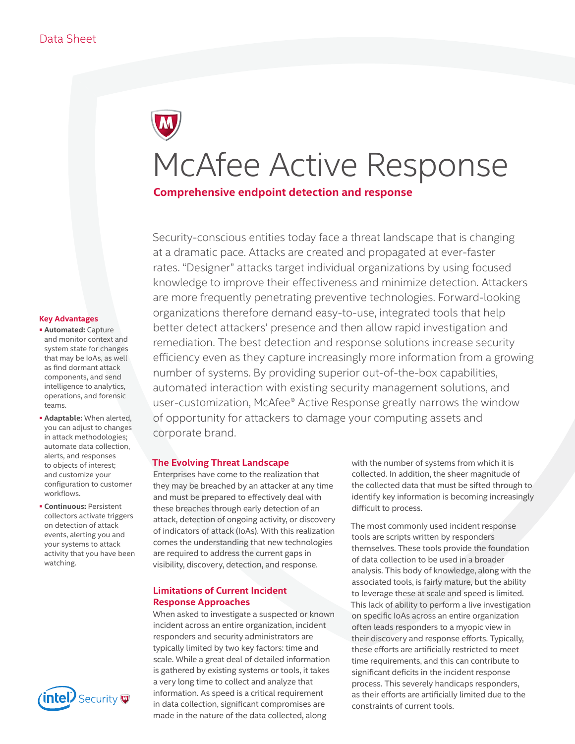# McAfee Active Response

# **Comprehensive endpoint detection and response**

Security-conscious entities today face a threat landscape that is changing at a dramatic pace. Attacks are created and propagated at ever-faster rates. "Designer" attacks target individual organizations by using focused knowledge to improve their effectiveness and minimize detection. Attackers are more frequently penetrating preventive technologies. Forward-looking organizations therefore demand easy-to-use, integrated tools that help better detect attackers' presence and then allow rapid investigation and remediation. The best detection and response solutions increase security efficiency even as they capture increasingly more information from a growing number of systems. By providing superior out-of-the-box capabilities, automated interaction with existing security management solutions, and user-customization, McAfee® Active Response greatly narrows the window of opportunity for attackers to damage your computing assets and corporate brand.

## **The Evolving Threat Landscape**

Enterprises have come to the realization that they may be breached by an attacker at any time and must be prepared to effectively deal with these breaches through early detection of an attack, detection of ongoing activity, or discovery of indicators of attack (IoAs). With this realization comes the understanding that new technologies are required to address the current gaps in visibility, discovery, detection, and response.

## **Limitations of Current Incident Response Approaches**

When asked to investigate a suspected or known incident across an entire organization, incident responders and security administrators are typically limited by two key factors: time and scale. While a great deal of detailed information is gathered by existing systems or tools, it takes a very long time to collect and analyze that information. As speed is a critical requirement in data collection, significant compromises are made in the nature of the data collected, along

with the number of systems from which it is collected. In addition, the sheer magnitude of the collected data that must be sifted through to identify key information is becoming increasingly difficult to process.

The most commonly used incident response tools are scripts written by responders themselves. These tools provide the foundation of data collection to be used in a broader analysis. This body of knowledge, along with the associated tools, is fairly mature, but the ability to leverage these at scale and speed is limited. This lack of ability to perform a live investigation on specific IoAs across an entire organization often leads responders to a myopic view in their discovery and response efforts. Typically, these efforts are artificially restricted to meet time requirements, and this can contribute to significant deficits in the incident response process. This severely handicaps responders, as their efforts are artificially limited due to the constraints of current tools.

#### **Key Advantages**

- **Automated:** Capture and monitor context and system state for changes that may be IoAs, as well as find dormant attack components, and send intelligence to analytics, operations, and forensic teams.
- **Adaptable:** When alerted, you can adjust to changes in attack methodologies; automate data collection, alerts, and responses to objects of interest; and customize your configuration to customer workflows.
- **Continuous:** Persistent collectors activate triggers on detection of attack events, alerting you and your systems to attack activity that you have been watching.

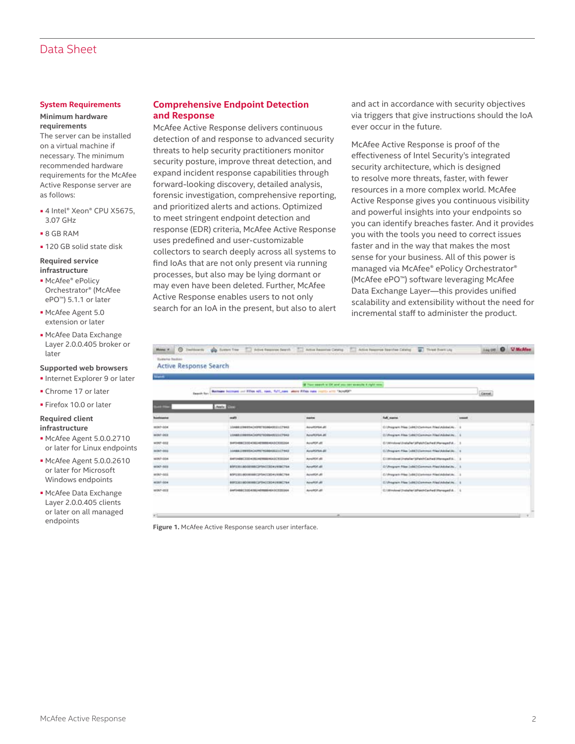# Data Sheet

#### **System Requirements**

#### **Minimum hardware requirements**

The server can be installed on a virtual machine if necessary. The minimum recommended hardware requirements for the McAfee Active Response server are as follows:

- 4 Intel® Xeon® CPU X5675, 3.07 GHz
- 8 GB RAM
- 120 GB solid state disk

#### **Required service infrastructure**

- McAfee® ePolicy Orchestrator® (McAfee ePO™) 5.1.1 or later
- McAfee Agent 5.0 extension or later
- McAfee Data Exchange Layer 2.0.0.405 broker or later

#### **Supported web browsers**

- Internet Explorer 9 or later
- Chrome 17 or later
- Firefox 10.0 or later

#### **Required client infrastructure**

- McAfee Agent 5.0.0.2710 or later for Linux endpoints
- McAfee Agent 5.0.0.2610 or later for Microsoft Windows endpoints
- McAfee Data Exchange Layer 2.0.0.405 clients or later on all managed

### **Comprehensive Endpoint Detection and Response**

McAfee Active Response delivers continuous detection of and response to advanced security threats to help security practitioners monitor security posture, improve threat detection, and expand incident response capabilities through forward-looking discovery, detailed analysis, forensic investigation, comprehensive reporting, and prioritized alerts and actions. Optimized to meet stringent endpoint detection and response (EDR) criteria, McAfee Active Response uses predefined and user-customizable collectors to search deeply across all systems to find IoAs that are not only present via running processes, but also may be lying dormant or may even have been deleted. Further, McAfee Active Response enables users to not only search for an IoA in the present, but also to alert

and act in accordance with security objectives via triggers that give instructions should the IoA ever occur in the future.

McAfee Active Response is proof of the effectiveness of Intel Security's integrated security architecture, which is designed to resolve more threats, faster, with fewer resources in a more complex world. McAfee Active Response gives you continuous visibility and powerful insights into your endpoints so you can identify breaches faster. And it provides you with the tools you need to correct issues faster and in the way that makes the most sense for your business. All of this power is managed via McAfee® ePolicy Orchestrator® (McAfee ePO™) software leveraging McAfee Data Exchange Layer—this provides unified scalability and extensibility without the need for incremental staff to administer the product.

| <b><i><u>Usefama Sedicio</u></i></b><br><b>Active Response Search</b> |                                                                                                                |                                                      | Hens # 1 Tradition to the Summ Tree / Atten Engines Search 11 Active Beaution Cennig / Active Beaution Search as Chine Banches Catalog 2 Three Enertials | <b>U. McAlles</b><br>$\Omega$<br>3 Aug 120 E |
|-----------------------------------------------------------------------|----------------------------------------------------------------------------------------------------------------|------------------------------------------------------|----------------------------------------------------------------------------------------------------------------------------------------------------------|----------------------------------------------|
| <b>North</b>                                                          |                                                                                                                |                                                      |                                                                                                                                                          |                                              |
|                                                                       |                                                                                                                | If They search is OX and you can assume a right one. |                                                                                                                                                          |                                              |
|                                                                       | Bustness becomes out filles will, need, fullfusees, where filles new youtto with "houstin"<br><b>Based for</b> |                                                      |                                                                                                                                                          | <b>Game</b>                                  |
| <b>PERSON</b>                                                         | Audio 1977                                                                                                     |                                                      |                                                                                                                                                          |                                              |
| <b><i><u>Basilepoint</u></i></b>                                      | mulli                                                                                                          | <b>SAMM</b>                                          | full name                                                                                                                                                | smeet.                                       |
| 4007-004                                                              | 104881099954CK99879386HSD21C79A3                                                                               | <b>BUNFORE JE</b>                                    | Elifregram Mas (sitt)/Commun Plas/Adobe/AL/ 1                                                                                                            |                                              |
| WON'T ONLY.                                                           | 10AB01HHHACAHUYA38MASCLL(75K3)                                                                                 | Avultitus at                                         | EV/Program Files Exhibit Common Files/Adobe/Jo., 1                                                                                                       |                                              |
| WDF-012                                                               | B4F3+B6C33D4362+0188846A3CX30264                                                                               | <b>NUMBER</b>                                        | C//Wridow/distaller/allate/Carlie E/Renage/Ld                                                                                                            |                                              |
| WDUT-002                                                              | 124881209935HCAU9979388H2G21C7943                                                                              | <b><i>RUMONA BL</i></b>                              | E//Program Files (x86) (Common Files/Adobe/Jo., 11                                                                                                       |                                              |
| WOUT-\$54                                                             | EAFUMERCEES-USUAINERSHEADCREDULA                                                                               | Analitis di                                          | Ciminava instalarizi echiamatimusquelis.                                                                                                                 |                                              |
| WDCF-803                                                              | BRYZIELBOGENBEGPSiCCEOKLASBC764                                                                                | <b>AnuffOE dE</b>                                    | E/ Program New (vita)/Commun New/Adulus/Ac.                                                                                                              |                                              |
| won-and                                                               | BSFE2018000108C2P5ACC3D41938C764                                                                               | <b>Acrestor JR</b>                                   | C//Program Prise InthE/Common PriestAdobetAc. 1                                                                                                          |                                              |
| Wilter dow                                                            | BERSEINDORMEGPSHOODSRININGTHA                                                                                  | <b>Aired Off JRT</b>                                 | E/Uvegram Max (uSE)/Common Was/Adube/Ac.                                                                                                                 |                                              |
| <b>WOMP-BEE</b>                                                       | AAFDABBC33D43B2A8HBBBAEA3CR3D24A                                                                               | <b>Avvidor.dll</b>                                   | C/Window/2ndahar/aftastrCarhet/Managed-A., L                                                                                                             |                                              |

endpoints<br>**Figure 1.** McAfee Active Response search user interface.

. T